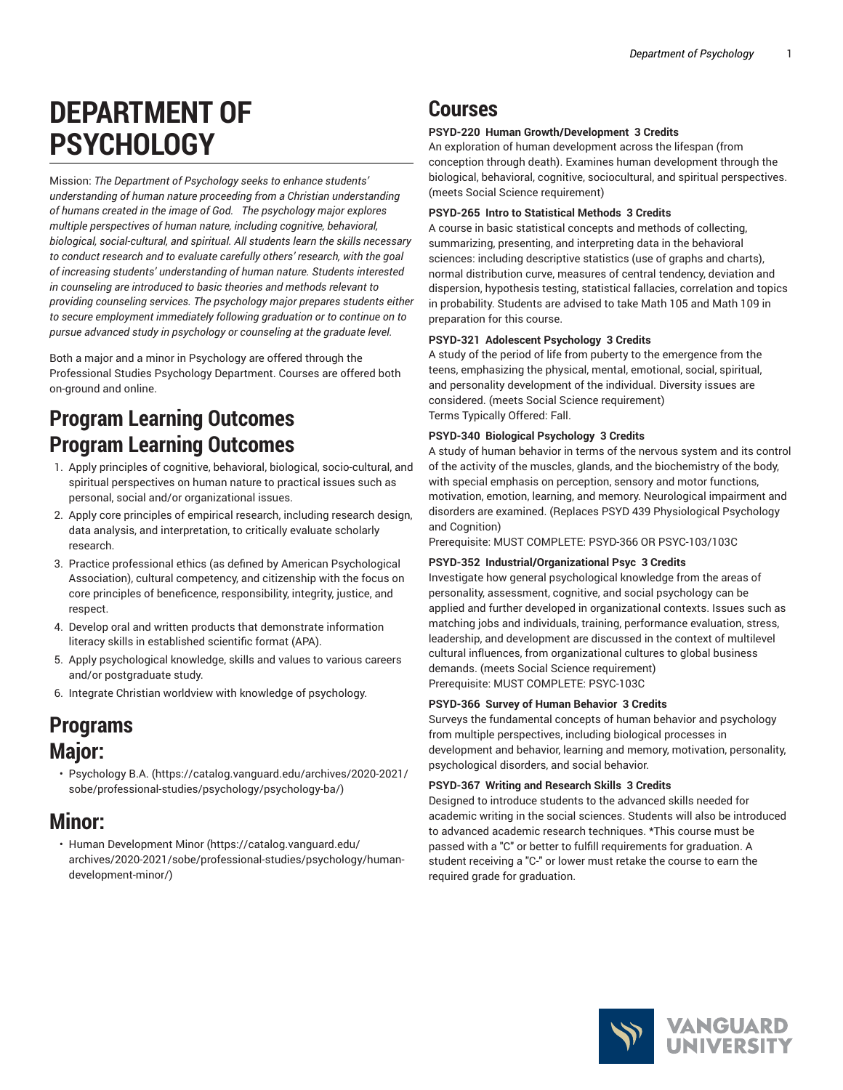# **DEPARTMENT OF PSYCHOLOGY**

Mission: *The Department of Psychology seeks to enhance students' understanding of human nature proceeding from a Christian understanding of humans created in the image of God. The psychology major explores multiple perspectives of human nature, including cognitive, behavioral, biological, social-cultural, and spiritual. All students learn the skills necessary to conduct research and to evaluate carefully others' research, with the goal of increasing students' understanding of human nature. Students interested in counseling are introduced to basic theories and methods relevant to providing counseling services. The psychology major prepares students either to secure employment immediately following graduation or to continue on to pursue advanced study in psychology or counseling at the graduate level.*

Both a major and a minor in Psychology are offered through the Professional Studies Psychology Department. Courses are offered both on-ground and online.

## **Program Learning Outcomes Program Learning Outcomes**

- 1. Apply principles of cognitive, behavioral, biological, socio-cultural, and spiritual perspectives on human nature to practical issues such as personal, social and/or organizational issues.
- 2. Apply core principles of empirical research, including research design, data analysis, and interpretation, to critically evaluate scholarly research.
- 3. Practice professional ethics (as defined by American Psychological Association), cultural competency, and citizenship with the focus on core principles of beneficence, responsibility, integrity, justice, and respect.
- 4. Develop oral and written products that demonstrate information literacy skills in established scientific format (APA).
- 5. Apply psychological knowledge, skills and values to various careers and/or postgraduate study.
- 6. Integrate Christian worldview with knowledge of psychology.

## **Programs Major:**

• [Psychology](https://catalog.vanguard.edu/archives/2020-2021/sobe/professional-studies/psychology/psychology-ba/) B.A. ([https://catalog.vanguard.edu/archives/2020-2021/](https://catalog.vanguard.edu/archives/2020-2021/sobe/professional-studies/psychology/psychology-ba/) [sobe/professional-studies/psychology/psychology-ba/](https://catalog.vanguard.edu/archives/2020-2021/sobe/professional-studies/psychology/psychology-ba/))

### **Minor:**

• Human [Development](https://catalog.vanguard.edu/archives/2020-2021/sobe/professional-studies/psychology/human-development-minor/) Minor ([https://catalog.vanguard.edu/](https://catalog.vanguard.edu/archives/2020-2021/sobe/professional-studies/psychology/human-development-minor/) [archives/2020-2021/sobe/professional-studies/psychology/human](https://catalog.vanguard.edu/archives/2020-2021/sobe/professional-studies/psychology/human-development-minor/)[development-minor/\)](https://catalog.vanguard.edu/archives/2020-2021/sobe/professional-studies/psychology/human-development-minor/)

## **Courses**

#### **PSYD-220 Human Growth/Development 3 Credits**

An exploration of human development across the lifespan (from conception through death). Examines human development through the biological, behavioral, cognitive, sociocultural, and spiritual perspectives. (meets Social Science requirement)

#### **PSYD-265 Intro to Statistical Methods 3 Credits**

A course in basic statistical concepts and methods of collecting, summarizing, presenting, and interpreting data in the behavioral sciences: including descriptive statistics (use of graphs and charts), normal distribution curve, measures of central tendency, deviation and dispersion, hypothesis testing, statistical fallacies, correlation and topics in probability. Students are advised to take Math 105 and Math 109 in preparation for this course.

#### **PSYD-321 Adolescent Psychology 3 Credits**

A study of the period of life from puberty to the emergence from the teens, emphasizing the physical, mental, emotional, social, spiritual, and personality development of the individual. Diversity issues are considered. (meets Social Science requirement) Terms Typically Offered: Fall.

#### **PSYD-340 Biological Psychology 3 Credits**

A study of human behavior in terms of the nervous system and its control of the activity of the muscles, glands, and the biochemistry of the body, with special emphasis on perception, sensory and motor functions, motivation, emotion, learning, and memory. Neurological impairment and disorders are examined. (Replaces PSYD 439 Physiological Psychology and Cognition)

Prerequisite: MUST COMPLETE: PSYD-366 OR PSYC-103/103C

#### **PSYD-352 Industrial/Organizational Psyc 3 Credits**

Investigate how general psychological knowledge from the areas of personality, assessment, cognitive, and social psychology can be applied and further developed in organizational contexts. Issues such as matching jobs and individuals, training, performance evaluation, stress, leadership, and development are discussed in the context of multilevel cultural influences, from organizational cultures to global business demands. (meets Social Science requirement) Prerequisite: MUST COMPLETE: PSYC-103C

#### **PSYD-366 Survey of Human Behavior 3 Credits**

Surveys the fundamental concepts of human behavior and psychology from multiple perspectives, including biological processes in development and behavior, learning and memory, motivation, personality, psychological disorders, and social behavior.

#### **PSYD-367 Writing and Research Skills 3 Credits**

Designed to introduce students to the advanced skills needed for academic writing in the social sciences. Students will also be introduced to advanced academic research techniques. \*This course must be passed with a "C" or better to fulfill requirements for graduation. A student receiving a "C-" or lower must retake the course to earn the required grade for graduation.